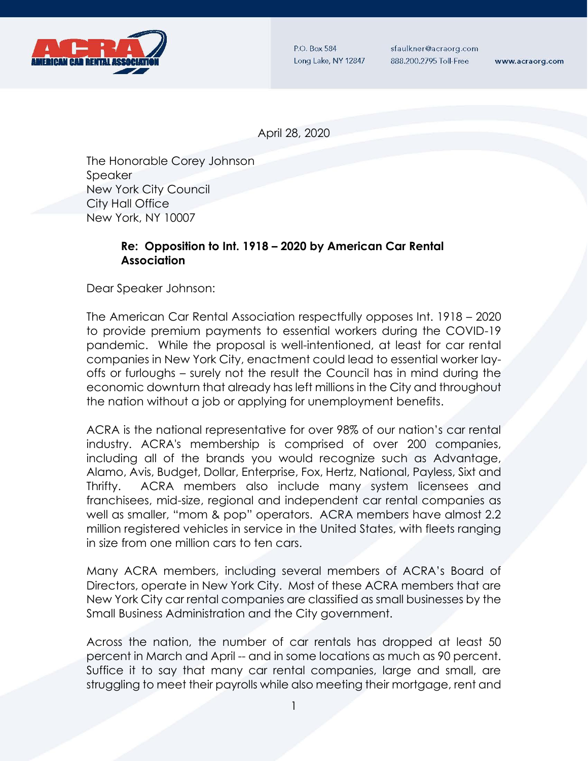

P.O. Box 584 Long Lake, NY 12847

sfaulkner@acraorg.com 888.200.2795 Toll-Free

www.acraorg.com

April 28, 2020

The Honorable Corey Johnson Speaker New York City Council City Hall Office New York, NY 10007

## **Re: Opposition to Int. 1918 – 2020 by American Car Rental Association**

Dear Speaker Johnson:

The American Car Rental Association respectfully opposes Int. 1918 – 2020 to provide premium payments to essential workers during the COVID-19 pandemic. While the proposal is well-intentioned, at least for car rental companies in New York City, enactment could lead to essential worker layoffs or furloughs – surely not the result the Council has in mind during the economic downturn that already has left millions in the City and throughout the nation without a job or applying for unemployment benefits.

ACRA is the national representative for over 98% of our nation's car rental industry. ACRA's membership is comprised of over 200 companies, including all of the brands you would recognize such as Advantage, Alamo, Avis, Budget, Dollar, Enterprise, Fox, Hertz, National, Payless, Sixt and Thrifty. ACRA members also include many system licensees and franchisees, mid-size, regional and independent car rental companies as well as smaller, "mom & pop" operators. ACRA members have almost 2.2 million registered vehicles in service in the United States, with fleets ranging in size from one million cars to ten cars.

Many ACRA members, including several members of ACRA's Board of Directors, operate in New York City. Most of these ACRA members that are New York City car rental companies are classified as small businesses by the Small Business Administration and the City government.

Across the nation, the number of car rentals has dropped at least 50 percent in March and April -- and in some locations as much as 90 percent. Suffice it to say that many car rental companies, large and small, are struggling to meet their payrolls while also meeting their mortgage, rent and